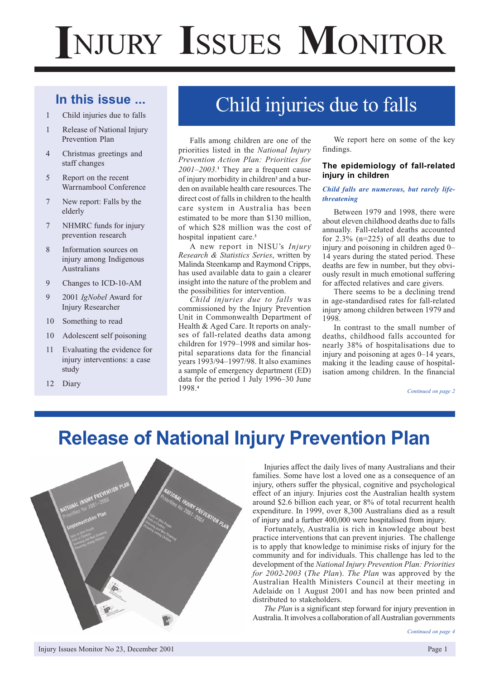# **I**NJURY **I**SSUES **M**ONITOR

### **In this issue ...**

- 
- 1 Release of National Injury Prevention Plan
- 4 Christmas greetings and staff changes
- 5 Report on the recent Warrnambool Conference
- 7 New report: Falls by the elderly
- 7 NHMRC funds for injury prevention research
- 8 Information sources on injury among Indigenous Australians
- 9 Changes to ICD-10-AM
- 9 2001 *IgNobel* Award for Injury Researcher
- 10 Something to read
- 10 Adolescent self poisoning
- 11 Evaluating the evidence for injury interventions: a case study
- 12 Diary

# In this issue  $\sum_{\text{1} \text{ Child injuries due to falls}}$  Child injuries due to falls

Falls among children are one of the priorities listed in the *National Injury Prevention Action Plan: Priorities for 2001–2003.***<sup>1</sup>** They are a frequent cause of injury morbidity in children**<sup>2</sup>** and a burden on available health care resources. The direct cost of falls in children to the health care system in Australia has been estimated to be more than \$130 million, of which \$28 million was the cost of hospital inpatient care.**<sup>3</sup>**

A new report in NISU's *Injury Research & Statistics Series*, written by Malinda Steenkamp and Raymond Cripps, has used available data to gain a clearer insight into the nature of the problem and the possibilities for intervention.

*Child injuries due to falls* was commissioned by the Injury Prevention Unit in Commonwealth Department of Health & Aged Care. It reports on analyses of fall-related deaths data among children for 1979–1998 and similar hospital separations data for the financial years 1993/94–1997/98. It also examines a sample of emergency department (ED) data for the period 1 July 1996–30 June 1998.**<sup>4</sup>**

We report here on some of the key findings.

### **The epidemiology of fall-related injury in children**

### *Child falls are numerous, but rarely lifethreatening*

Between 1979 and 1998, there were about eleven childhood deaths due to falls annually. Fall-related deaths accounted for 2.3% (n=225) of all deaths due to injury and poisoning in children aged 0– 14 years during the stated period. These deaths are few in number, but they obviously result in much emotional suffering for affected relatives and care givers.

There seems to be a declining trend in age-standardised rates for fall-related injury among children between 1979 and 1998.

In contrast to the small number of deaths, childhood falls accounted for nearly 38% of hospitalisations due to injury and poisoning at ages 0–14 years, making it the leading cause of hospitalisation among children. In the financial

*Continued on page 2*

# **Release of National Injury Prevention Plan**



Injuries affect the daily lives of many Australians and their families. Some have lost a loved one as a consequence of an injury, others suffer the physical, cognitive and psychological effect of an injury. Injuries cost the Australian health system around \$2.6 billion each year, or 8% of total recurrent health expenditure. In 1999, over 8,300 Australians died as a result of injury and a further 400,000 were hospitalised from injury.

Fortunately, Australia is rich in knowledge about best practice interventions that can prevent injuries. The challenge is to apply that knowledge to minimise risks of injury for the community and for individuals. This challenge has led to the development of the *National Injury Prevention Plan: Priorities for 2002-2003* (*The Plan*). *The Plan* was approved by the Australian Health Ministers Council at their meeting in Adelaide on 1 August 2001 and has now been printed and distributed to stakeholders.

*The Plan* is a significant step forward for injury prevention in Australia. It involves a collaboration of all Australian governments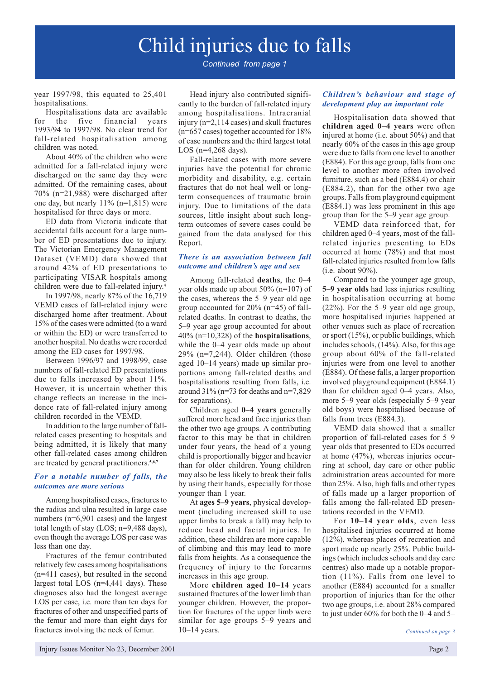# Child injuries due to falls

*Continued from page 1*

year 1997/98, this equated to 25,401 hospitalisations.

Hospitalisations data are available for the five financial years 1993/94 to 1997/98. No clear trend for fall-related hospitalisation among children was noted.

About 40% of the children who were admitted for a fall-related injury were discharged on the same day they were admitted. Of the remaining cases, about 70% (n=21,988) were discharged after one day, but nearly 11% (n=1,815) were hospitalised for three days or more.

ED data from Victoria indicate that accidental falls account for a large number of ED presentations due to injury. The Victorian Emergency Management Dataset (VEMD) data showed that around 42% of ED presentations to participating VISAR hospitals among children were due to fall-related injury.**<sup>4</sup>**

In 1997/98, nearly 87% of the 16,719 VEMD cases of fall-related injury were discharged home after treatment. About 15% of the cases were admitted (to a ward or within the ED) or were transferred to another hospital. No deaths were recorded among the ED cases for 1997/98.

Between 1996/97 and 1998/99, case numbers of fall-related ED presentations due to falls increased by about 11%. However, it is uncertain whether this change reflects an increase in the incidence rate of fall-related injury among children recorded in the VEMD.

In addition to the large number of fallrelated cases presenting to hospitals and being admitted, it is likely that many other fall-related cases among children are treated by general practitioners.**5,6,7**

### *For a notable number of falls, the outcomes are more serious*

Among hospitalised cases, fractures to the radius and ulna resulted in large case numbers (n=6,901 cases) and the largest total length of stay (LOS; n=9,488 days), even though the average LOS per case was less than one day.

Fractures of the femur contributed relatively few cases among hospitalisations (n=411 cases), but resulted in the second largest total LOS (n=4,441 days). These diagnoses also had the longest average LOS per case, i.e. more than ten days for fractures of other and unspecified parts of the femur and more than eight days for fractures involving the neck of femur.

Head injury also contributed significantly to the burden of fall-related injury among hospitalisations. Intracranial injury (n=2,114 cases) and skull fractures (n=657 cases) together accounted for 18% of case numbers and the third largest total LOS (n=4,268 days).

Fall-related cases with more severe injuries have the potential for chronic morbidity and disability, e.g. certain fractures that do not heal well or longterm consequences of traumatic brain injury. Due to limitations of the data sources, little insight about such longterm outcomes of severe cases could be gained from the data analysed for this Report.

### *There is an association between fall outcome and children's age and sex*

Among fall-related **deaths**, the 0–4 year olds made up about 50% (n=107) of the cases, whereas the 5–9 year old age group accounted for 20% (n=45) of fallrelated deaths. In contrast to deaths, the 5–9 year age group accounted for about 40% (n=10,328) of the **hospitalisations**, while the 0–4 year olds made up about 29% (n=7,244). Older children (those aged 10–14 years) made up similar proportions among fall-related deaths and hospitalisations resulting from falls, i.e. around 31% (n=73 for deaths and n=7,829 for separations).

Children aged **0–4 years** generally suffered more head and face injuries than the other two age groups. A contributing factor to this may be that in children under four years, the head of a young child is proportionally bigger and heavier than for older children. Young children may also be less likely to break their falls by using their hands, especially for those younger than 1 year.

At **ages 5–9 years**, physical development (including increased skill to use upper limbs to break a fall) may help to reduce head and facial injuries. In addition, these children are more capable of climbing and this may lead to more falls from heights. As a consequence the frequency of injury to the forearms increases in this age group.

More **children aged 10–14** years sustained fractures of the lower limb than younger children. However, the proportion for fractures of the upper limb were similar for age groups 5–9 years and 10–14 years.

### *Children's behaviour and stage of development play an important role*

Hospitalisation data showed that **children aged 0–4 years** were often injured at home (i.e. about 50%) and that nearly 60% of the cases in this age group were due to falls from one level to another (E884). For this age group, falls from one level to another more often involved furniture, such as a bed (E884.4) or chair (E884.2), than for the other two age groups. Falls from playground equipment (E884.1) was less prominent in this age group than for the 5–9 year age group.

VEMD data reinforced that, for children aged 0–4 years, most of the fallrelated injuries presenting to EDs occurred at home (78%) and that most fall-related injuries resulted from low falls (i.e. about 90%).

Compared to the younger age group, **5–9 year olds** had less injuries resulting in hospitalisation occurring at home (22%). For the 5–9 year old age group, more hospitalised injuries happened at other venues such as place of recreation or sport (15%), or public buildings, which includes schools, (14%). Also, for this age group about 60% of the fall-related injuries were from one level to another (E884). Of these falls, a larger proportion involved playground equipment (E884.1) than for children aged 0–4 years. Also, more 5–9 year olds (especially 5–9 year old boys) were hospitalised because of falls from trees (E884.3).

VEMD data showed that a smaller proportion of fall-related cases for 5–9 year olds that presented to EDs occurred at home (47%), whereas injuries occurring at school, day care or other public administration areas accounted for more than 25%. Also, high falls and other types of falls made up a larger proportion of falls among the fall-related ED presentations recorded in the VEMD.

For **10–14 year olds**, even less hospitalised injuries occurred at home (12%), whereas places of recreation and sport made up nearly 25%. Public buildings (which includes schools and day care centres) also made up a notable proportion (11%). Falls from one level to another (E884) accounted for a smaller proportion of injuries than for the other two age groups, i.e. about 28% compared to just under 60% for both the 0–4 and 5–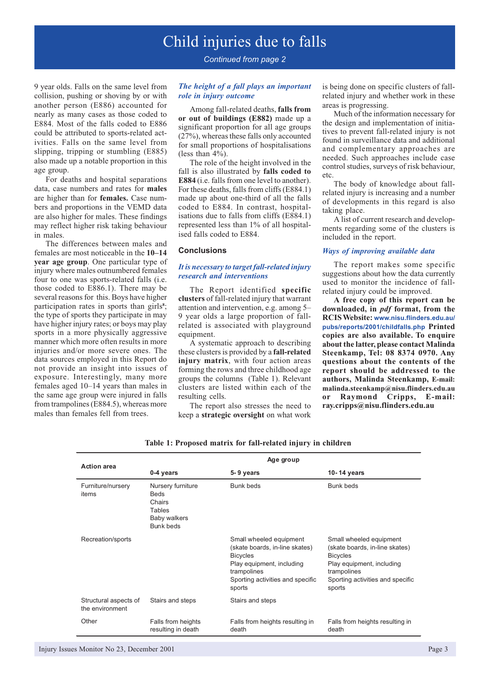### Child injuries due to falls

*Continued from page 2*

9 year olds. Falls on the same level from collision, pushing or shoving by or with another person (E886) accounted for nearly as many cases as those coded to E884. Most of the falls coded to E886 could be attributed to sports-related activities. Falls on the same level from slipping, tripping or stumbling (E885) also made up a notable proportion in this age group.

For deaths and hospital separations data, case numbers and rates for **males** are higher than for **females.** Case numbers and proportions in the VEMD data are also higher for males. These findings may reflect higher risk taking behaviour in males.

The differences between males and females are most noticeable in the **10–14 year age group**. One particular type of injury where males outnumbered females four to one was sports-related falls (i.e. those coded to E886.1). There may be several reasons for this. Boys have higher participation rates in sports than girls**<sup>8</sup>** ; the type of sports they participate in may have higher injury rates; or boys may play sports in a more physically aggressive manner which more often results in more injuries and/or more severe ones. The data sources employed in this Report do not provide an insight into issues of exposure. Interestingly, many more females aged 10–14 years than males in the same age group were injured in falls from trampolines (E884.5), whereas more males than females fell from trees.

### *The height of a fall plays an important role in injury outcome*

Among fall-related deaths, **falls from or out of buildings (E882)** made up a significant proportion for all age groups (27%), whereas these falls only accounted for small proportions of hospitalisations (less than  $4\%$ ).

The role of the height involved in the fall is also illustrated by **falls coded to E884** (i.e. falls from one level to another). For these deaths, falls from cliffs (E884.1) made up about one-third of all the falls coded to E884. In contrast, hospitalisations due to falls from cliffs (E884.1) represented less than 1% of all hospitalised falls coded to E884.

### **Conclusions**

### *It is necessary to target fall-related injury research and interventions*

The Report identified **specific clusters** of fall-related injury that warrant attention and intervention, e.g. among 5– 9 year olds a large proportion of fallrelated is associated with playground equipment.

A systematic approach to describing these clusters is provided by a **fall-related injury matrix**, with four action areas forming the rows and three childhood age groups the columns (Table 1). Relevant clusters are listed within each of the resulting cells.

The report also stresses the need to keep a **strategic oversight** on what work is being done on specific clusters of fallrelated injury and whether work in these areas is progressing.

Much of the information necessary for the design and implementation of initiatives to prevent fall-related injury is not found in surveillance data and additional and complementary approaches are needed. Such approaches include case control studies, surveys of risk behaviour, etc.

The body of knowledge about fallrelated injury is increasing and a number of developments in this regard is also taking place.

A list of current research and developments regarding some of the clusters is included in the report.

### *Ways of improving available data*

The report makes some specific suggestions about how the data currently used to monitor the incidence of fallrelated injury could be improved.

**A free copy of this report can be downloaded, in** *pdf* **format, from the RCIS Website: www.nisu.flinders.edu.au/ pubs/reports/2001/childfalls.php Printed copies are also available. To enquire about the latter, please contact Malinda Steenkamp, Tel: 08 8374 0970. Any questions about the contents of the report should be addressed to the authors, Malinda Steenkamp, E-mail: malinda.steenkamp@nisu.flinders.edu.au or Raymond Cripps, E-mail: ray.cripps@nisu.flinders.edu.au**

| <b>Action area</b>                       | Age group                                                                         |                                                                                                                                                                        |                                                                                                                                                                        |
|------------------------------------------|-----------------------------------------------------------------------------------|------------------------------------------------------------------------------------------------------------------------------------------------------------------------|------------------------------------------------------------------------------------------------------------------------------------------------------------------------|
|                                          | 0-4 years                                                                         | 5-9 years                                                                                                                                                              | 10-14 years                                                                                                                                                            |
| Furniture/nursery<br>items               | Nursery furniture<br><b>Beds</b><br>Chairs<br>Tables<br>Baby walkers<br>Bunk beds | <b>Bunk beds</b>                                                                                                                                                       | <b>Bunk beds</b>                                                                                                                                                       |
| Recreation/sports                        |                                                                                   | Small wheeled equipment<br>(skate boards, in-line skates)<br><b>Bicycles</b><br>Play equipment, including<br>trampolines<br>Sporting activities and specific<br>sports | Small wheeled equipment<br>(skate boards, in-line skates)<br><b>Bicycles</b><br>Play equipment, including<br>trampolines<br>Sporting activities and specific<br>sports |
| Structural aspects of<br>the environment | Stairs and steps                                                                  | Stairs and steps                                                                                                                                                       |                                                                                                                                                                        |
| Other                                    | Falls from heights<br>resulting in death                                          | Falls from heights resulting in<br>death                                                                                                                               | Falls from heights resulting in<br>death                                                                                                                               |

**Table 1: Proposed matrix for fall-related injury in children**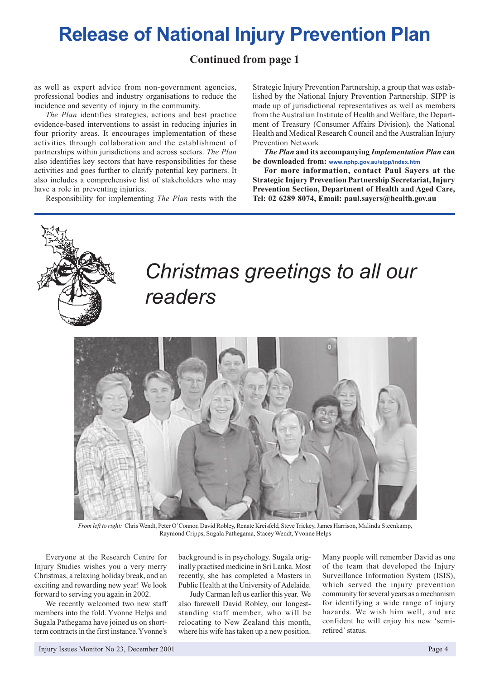# **Release of National Injury Prevention Plan**

### **Continued from page 1**

as well as expert advice from non-government agencies, professional bodies and industry organisations to reduce the incidence and severity of injury in the community.

*The Plan* identifies strategies, actions and best practice evidence-based interventions to assist in reducing injuries in four priority areas. It encourages implementation of these activities through collaboration and the establishment of partnerships within jurisdictions and across sectors. *The Plan* also identifies key sectors that have responsibilities for these activities and goes further to clarify potential key partners. It also includes a comprehensive list of stakeholders who may have a role in preventing injuries.

Responsibility for implementing *The Plan* rests with the

Strategic Injury Prevention Partnership, a group that was established by the National Injury Prevention Partnership. SIPP is made up of jurisdictional representatives as well as members from the Australian Institute of Health and Welfare, the Department of Treasury (Consumer Affairs Division), the National Health and Medical Research Council and the Australian Injury Prevention Network.

*The Plan* **and its accompanying** *Implementation Plan* **can be downloaded from: www.nphp.gov.au/sipp/index.htm**

**For more information, contact Paul Sayers at the Strategic Injury Prevention Partnership Secretariat, Injury Prevention Section, Department of Health and Aged Care, Tel: 02 6289 8074, Email: paul.sayers@health.gov.au**



# *Christmas greetings to all our readers*



*From left to right:* Chris Wendt, Peter O'Connor, David Robley, Renate Kreisfeld, Steve Trickey, James Harrison, Malinda Steenkamp, Raymond Cripps, Sugala Pathegama, Stacey Wendt, Yvonne Helps

Everyone at the Research Centre for Injury Studies wishes you a very merry Christmas, a relaxing holiday break, and an exciting and rewarding new year! We look forward to serving you again in 2002.

We recently welcomed two new staff members into the fold. Yvonne Helps and Sugala Pathegama have joined us on shortterm contracts in the first instance. Yvonne's

background is in psychology. Sugala originally practised medicine in Sri Lanka. Most recently, she has completed a Masters in Public Health at the University of Adelaide.

Judy Carman left us earlier this year. We also farewell David Robley, our longeststanding staff member, who will be relocating to New Zealand this month, where his wife has taken up a new position.

Many people will remember David as one of the team that developed the Injury Surveillance Information System (ISIS), which served the injury prevention community for several years as a mechanism for identifying a wide range of injury hazards. We wish him well, and are confident he will enjoy his new 'semiretired' status.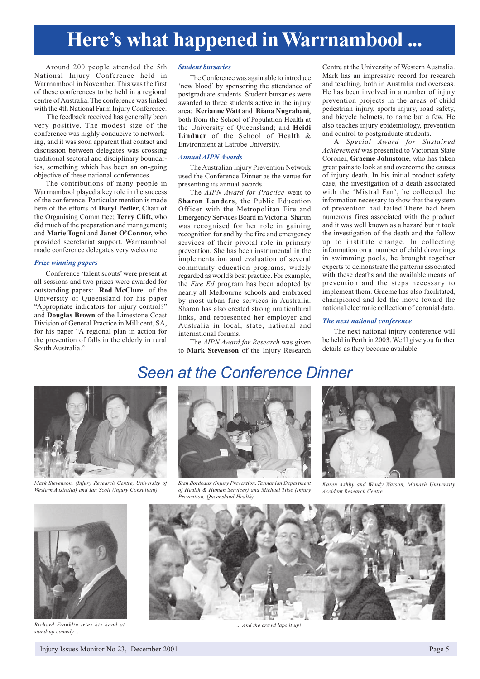# **Here's what happened in Warrnambool ...**

Around 200 people attended the 5th National Injury Conference held in Warrnambool in November. This was the first of these conferences to be held in a regional centre of Australia. The conference was linked with the 4th National Farm Injury Conference.

The feedback received has generally been very positive. The modest size of the conference was highly conducive to networking, and it was soon apparent that contact and discussion between delegates was crossing traditional sectoral and disciplinary boundaries, something which has been an on-going objective of these national conferences.

The contributions of many people in Warrnambool played a key role in the success of the conference. Particular mention is made here of the efforts of **Daryl Pedler,** Chair of the Organising Committee; **Terry Clift,** who did much of the preparation and management**;** and **Marie Togni** and **Janet O'Connor,** who provided secretariat support. Warrnambool made conference delegates very welcome.

#### *Prize winning papers*

Conference 'talent scouts' were present at all sessions and two prizes were awarded for outstanding papers: **Rod McClure** of the University of Queensland for his paper "Appropriate indicators for injury control?" and **Douglas Brown** of the Limestone Coast Division of General Practice in Millicent, SA, for his paper "A regional plan in action for the prevention of falls in the elderly in rural South Australia."

#### *Student bursaries*

The Conference was again able to introduce 'new blood' by sponsoring the attendance of postgraduate students. Student bursaries were awarded to three students active in the injury area: **Kerianne Watt** and **Riana Nugrahani**, both from the School of Population Health at the University of Queensland; and **Heidi Lindner** of the School of Health & Environment at Latrobe University.

#### *Annual AIPN Awards*

The Australian Injury Prevention Network used the Conference Dinner as the venue for presenting its annual awards.

The *AIPN Award for Practice* went to **Sharon Landers**, the Public Education Officer with the Metropolitan Fire and Emergency Services Board in Victoria. Sharon was recognised for her role in gaining recognition for and by the fire and emergency services of their pivotal role in primary prevention. She has been instrumental in the implementation and evaluation of several community education programs, widely regarded as world's best practice. For example, the *Fire Ed* program has been adopted by nearly all Melbourne schools and embraced by most urban fire services in Australia. Sharon has also created strong multicultural links, and represented her employer and Australia in local, state, national and international forums.

The *AIPN Award for Research* was given to **Mark Stevenson** of the Injury Research Centre at the University of Western Australia. Mark has an impressive record for research and teaching, both in Australia and overseas. He has been involved in a number of injury prevention projects in the areas of child pedestrian injury, sports injury, road safety, and bicycle helmets, to name but a few. He also teaches injury epidemiology, prevention and control to postgraduate students.

A *Special Award for Sustained Achievement* was presented to Victorian State Coroner, **Graeme Johnstone**, who has taken great pains to look at and overcome the causes of injury death. In his initial product safety case, the investigation of a death associated with the 'Mistral Fan', he collected the information necessary to show that the system of prevention had failed.There had been numerous fires associated with the product and it was well known as a hazard but it took the investigation of the death and the follow up to institute change. In collecting information on a number of child drownings in swimming pools, he brought together experts to demonstrate the patterns associated with these deaths and the available means of prevention and the steps necessary to implement them. Graeme has also facilitated, championed and led the move toward the national electronic collection of coronial data.

### *The next national conference*

The next national injury conference will be held in Perth in 2003. We'll give you further details as they become available.

### *Seen at the Conference Dinner*



*Mark Stevenson, (Injury Research Centre, University of Western Australia) and Ian Scott (Injury Consultant)*



*Stan Bordeaux (Injury Prevention, Tasmanian Department of Health & Human Services) and Michael Tilse (Injury Prevention, Queensland Health)*



*Karen Ashby and Wendy Watson, Monash University Accident Research Centre*



*Richard Franklin tries his hand at stand-up comedy ...*



*... And the crowd laps it up!*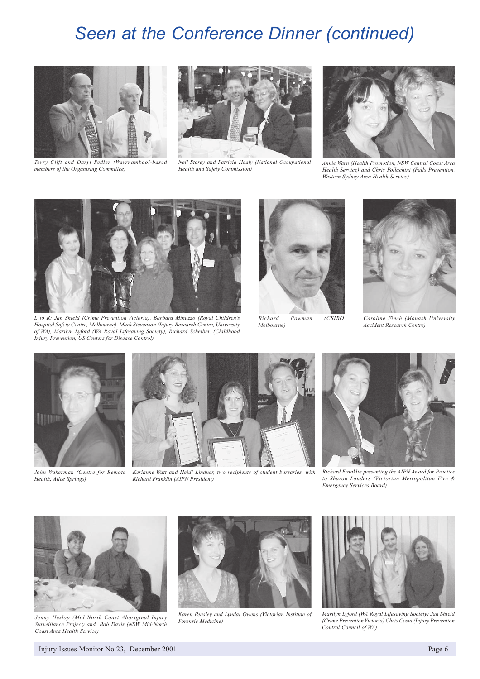## *Seen at the Conference Dinner (continued)*



*Terry Clift and Daryl Pedler (Warrnambool-based members of the Organising Committee)*



*Neil Storey and Patricia Healy (National Occupational Health and Safety Commission)*



*Annie Warn (Health Promotion, NSW Central Coast Area Health Service) and Chris Pollachini (Falls Prevention, Western Sydney Area Health Service)*



*L to R: Jan Shield (Crime Prevention Victoria), Barbara Minuzzo (Royal Children's Hospital Safety Centre, Melbourne), Mark Stevenson (Injury Research Centre, University of WA), Marilyn Lyford (WA Royal Lifesaving Society), Richard Scheiber, (Childhood Injury Prevention, US Centers for Disease Control)*



*Richard Bowman (CSIRO Melbourne)*



*Caroline Finch (Monash University Accident Research Centre)*



*John Wakerman (Centre for Remote Health, Alice Springs)*



*Kerianne Watt and Heidi Lindner, two recipients of student bursaries, with Richard Franklin (AIPN President)*



*Richard Franklin presenting the AIPN Award for Practice to Sharon Landers (Victorian Metropolitan Fire & Emergency Services Board)*



*Jenny Heslop (Mid North Coast Aboriginal Injury Surveillance Project) and Bob Davis (NSW Mid-North Coast Area Health Service)*



*Karen Peasley and Lyndal Owens (Victorian Institute of Forensic Medicine)*



*Marilyn Lyford (WA Royal Lifesaving Society) Jan Shield (Crime Prevention Victoria) Chris Costa (Injury Prevention Control Council of WA)*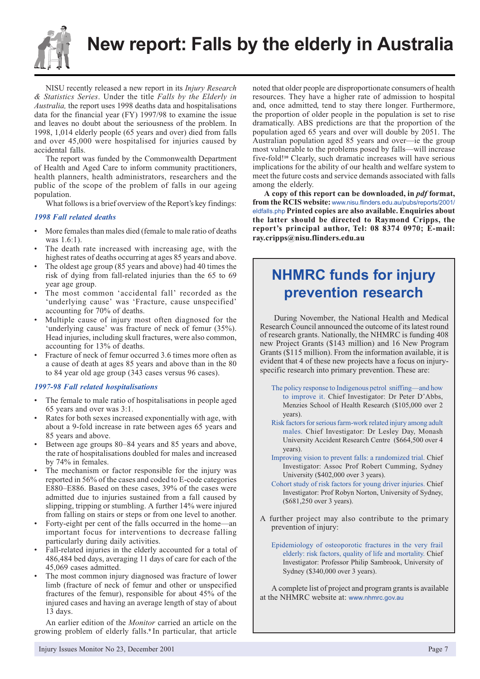

# **New report: Falls by the elderly in Australia**

NISU recently released a new report in its *Injury Research & Statistics Series*. Under the title *Falls by the Elderly in Australia,* the report uses 1998 deaths data and hospitalisations data for the financial year (FY) 1997/98 to examine the issue and leaves no doubt about the seriousness of the problem. In 1998, 1,014 elderly people (65 years and over) died from falls and over 45,000 were hospitalised for injuries caused by accidental falls.

The report was funded by the Commonwealth Department of Health and Aged Care to inform community practitioners, health planners, health administrators, researchers and the public of the scope of the problem of falls in our ageing population.

What follows is a brief overview of the Report's key findings:

### *1998 Fall related deaths*

- More females than males died (female to male ratio of deaths was 1.6:1).
- The death rate increased with increasing age, with the highest rates of deaths occurring at ages 85 years and above.
- The oldest age group (85 years and above) had 40 times the risk of dying from fall-related injuries than the 65 to 69 year age group.
- The most common 'accidental fall' recorded as the 'underlying cause' was 'Fracture, cause unspecified' accounting for 70% of deaths.
- Multiple cause of injury most often diagnosed for the 'underlying cause' was fracture of neck of femur (35%). Head injuries, including skull fractures, were also common, accounting for 13% of deaths.
- Fracture of neck of femur occurred 3.6 times more often as a cause of death at ages 85 years and above than in the 80 to 84 year old age group (343 cases versus 96 cases).

### *1997-98 Fall related hospitalisations*

- The female to male ratio of hospitalisations in people aged 65 years and over was 3:1.
- Rates for both sexes increased exponentially with age, with about a 9-fold increase in rate between ages 65 years and 85 years and above.
- Between age groups 80–84 years and 85 years and above, the rate of hospitalisations doubled for males and increased by 74% in females.
- The mechanism or factor responsible for the injury was reported in 56% of the cases and coded to E-code categories E880–E886. Based on these cases, 39% of the cases were admitted due to injuries sustained from a fall caused by slipping, tripping or stumbling. A further 14% were injured from falling on stairs or steps or from one level to another.
- Forty-eight per cent of the falls occurred in the home—an important focus for interventions to decrease falling particularly during daily activities.
- Fall-related injuries in the elderly accounted for a total of 486,484 bed days, averaging 11 days of care for each of the 45,069 cases admitted.
- The most common injury diagnosed was fracture of lower limb (fracture of neck of femur and other or unspecified fractures of the femur), responsible for about 45% of the injured cases and having an average length of stay of about 13 days.

An earlier edition of the *Monitor* carried an article on the growing problem of elderly falls.**9** In particular, that article noted that older people are disproportionate consumers of health resources. They have a higher rate of admission to hospital and, once admitted, tend to stay there longer. Furthermore, the proportion of older people in the population is set to rise dramatically. ABS predictions are that the proportion of the population aged 65 years and over will double by 2051. The Australian population aged 85 years and over—ie the group most vulnerable to the problems posed by falls—will increase five-fold!**<sup>10</sup>** Clearly, such dramatic increases will have serious implications for the ability of our health and welfare system to meet the future costs and service demands associated with falls among the elderly.

**A copy of this report can be downloaded, in** *pdf* **format, from the RCIS website:** www.nisu.flinders.edu.au/pubs/reports/2001/ eldfalls.php **Printed copies are also available. Enquiries about the latter should be directed to Raymond Cripps, the report's principal author, Tel: 08 8374 0970; E-mail: ray.cripps@nisu.flinders.edu.au**

### **NHMRC funds for injury prevention research**

During November, the National Health and Medical Research Council announced the outcome of its latest round of research grants. Nationally, the NHMRC is funding 408 new Project Grants (\$143 million) and 16 New Program Grants (\$115 million). From the information available, it is evident that 4 of these new projects have a focus on injuryspecific research into primary prevention. These are:

- The policy response to Indigenous petrol sniffing—and how to improve it. Chief Investigator: Dr Peter D'Abbs, Menzies School of Health Research (\$105,000 over 2 years).
- Risk factors for serious farm-work related injury among adult males. Chief Investigator: Dr Lesley Day, Monash University Accident Research Centre (\$664,500 over 4 years).
- Improving vision to prevent falls: a randomized trial. Chief Investigator: Assoc Prof Robert Cumming, Sydney University (\$402,000 over 3 years).
- Cohort study of risk factors for young driver injuries. Chief Investigator: Prof Robyn Norton, University of Sydney, (\$681,250 over 3 years).
- A further project may also contribute to the primary prevention of injury:
	- Epidemiology of osteoporotic fractures in the very frail elderly: risk factors, quality of life and mortality. Chief Investigator: Professor Philip Sambrook, University of Sydney (\$340,000 over 3 years).

A complete list of project and program grants is available at the NHMRC website at: www.nhmrc.gov.au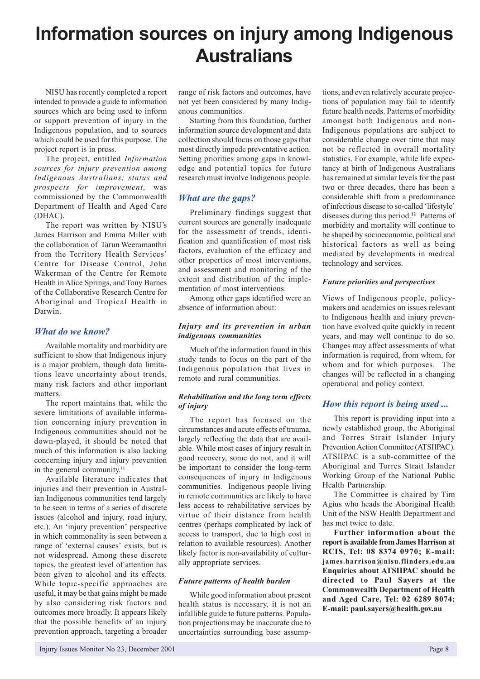# **Information sources on injury among Indigenous Australians**

NISU has recently completed a report intended to provide a guide to information sources which are being used to inform or support prevention of injury in the Indigenous population, and to sources which could be used for this purpose. The project report is in press.

The project, entitled *Information sources for injury prevention among Indigenous Australians: status and prospects for improvement,* was commissioned by the Commonwealth Department of Health and Aged Care (DHAC).

The report was written by NISU's James Harrison and Emma Miller with the collaboration of Tarun Weeramanthri from the Territory Health Services' Centre for Disease Control, John Wakerman of the Centre for Remote Health in Alice Springs, and Tony Barnes of the Collaborative Research Centre for Aboriginal and Tropical Health in Darwin.

### *What do we know?*

Available mortality and morbidity are sufficient to show that Indigenous injury is a major problem, though data limitations leave uncertainty about trends, many risk factors and other important matters.

The report maintains that, while the severe limitations of available information concerning injury prevention in Indigenous communities should not be down-played, it should be noted that much of this information is also lacking concerning injury and injury prevention in the general community.**<sup>11</sup>**

Available literature indicates that injuries and their prevention in Australian Indigenous communities tend largely to be seen in terms of a series of discrete issues (alcohol and injury, road injury, etc.). An 'injury prevention' perspective in which commonality is seen between a range of 'external causes' exists, but is not widespread. Among these discrete topics, the greatest level of attention has been given to alcohol and its effects. While topic-specific approaches are useful, it may be that gains might be made by also considering risk factors and outcomes more broadly. It appears likely that the possible benefits of an injury prevention approach, targeting a broader

range of risk factors and outcomes, have not yet been considered by many Indigenous communities.

Starting from this foundation, further information source development and data collection should focus on those gaps that most directly impede preventative action. Setting priorities among gaps in knowledge and potential topics for future research must involve Indigenous people.

### *What are the gaps?*

Preliminary findings suggest that current sources are generally inadequate for the assessment of trends, identification and quantification of most risk factors, evaluation of the efficacy and other properties of most interventions, and assessment and monitoring of the extent and distribution of the implementation of most interventions.

Among other gaps identified were an absence of information about:

### *Injury and its prevention in urban indigenous communities*

Much of the information found in this study tends to focus on the part of the Indigenous population that lives in remote and rural communities.

### *Rehabilitation and the long term effects of injury*

The report has focused on the circumstances and acute effects of trauma, largely reflecting the data that are available. While most cases of injury result in good recovery, some do not, and it will be important to consider the long-term consequences of injury in Indigenous communities. Indigenous people living in remote communities are likely to have less access to rehabilitative services by virtue of their distance from health centres (perhaps complicated by lack of access to transport, due to high cost in relation to available resources). Another likely factor is non-availability of culturally appropriate services.

### *Future patterns of health burden*

While good information about present health status is necessary, it is not an infallible guide to future patterns. Population projections may be inaccurate due to uncertainties surrounding base assumptions, and even relatively accurate projections of population may fail to identify future health needs. Patterns of morbidity amongst both Indigenous and non-Indigenous populations are subject to considerable change over time that may not be reflected in overall mortality statistics. For example, while life expectancy at birth of Indigenous Australians has remained at similar levels for the past two or three decades, there has been a considerable shift from a predominance of infectious disease to so-called 'lifestyle' diseases during this period.**<sup>12</sup>** Patterns of morbidity and mortality will continue to be shaped by socioeconomic, political and historical factors as well as being mediated by developments in medical technology and services.

### *Future priorities and perspectives*

Views of Indigenous people, policymakers and academics on issues relevant to Indigenous health and injury prevention have evolved quite quickly in recent years, and may well continue to do so. Changes may affect assessments of what information is required, from whom, for whom and for which purposes. The changes will be reflected in a changing operational and policy context.

### *How this report is being used ...*

This report is providing input into a newly established group, the Aboriginal and Torres Strait Islander Injury Prevention Action Committee (ATSIIPAC). ATSIIPAC is a sub-committee of the Aboriginal and Torres Strait Islander Working Group of the National Public Health Partnership.

The Committee is chaired by Tim Agius who heads the Aboriginal Health Unit of the NSW Health Department and has met twice to date.

**Further information about the report is available from James Harrison at RCIS, Tel: 08 8374 0970; E-mail: james.harrison@nisu.flinders.edu.au Enquiries about ATSIIPAC should be directed to Paul Sayers at the Commonwealth Department of Health and Aged Care, Tel: 02 6289 8074; E-mail: paul.sayers@health.gov.au**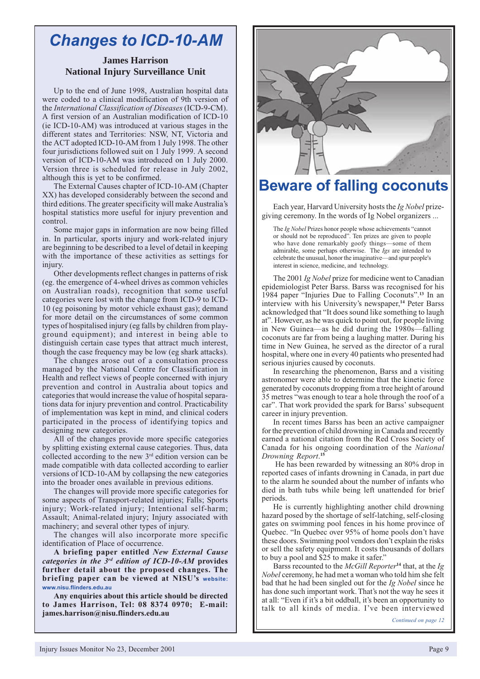### *Changes to ICD-10-AM*

### **James Harrison National Injury Surveillance Unit**

Up to the end of June 1998, Australian hospital data were coded to a clinical modification of 9th version of the *International Classification of Diseases* (ICD-9-CM). A first version of an Australian modification of ICD-10 (ie ICD-10-AM) was introduced at various stages in the different states and Territories: NSW, NT, Victoria and the ACT adopted ICD-10-AM from 1 July 1998. The other four jurisdictions followed suit on 1 July 1999. A second version of ICD-10-AM was introduced on 1 July 2000. Version three is scheduled for release in July 2002, although this is yet to be confirmed.

The External Causes chapter of ICD-10-AM (Chapter XX) has developed considerably between the second and third editions. The greater specificity will make Australia's hospital statistics more useful for injury prevention and control.

Some major gaps in information are now being filled in. In particular, sports injury and work-related injury are beginning to be described to a level of detail in keeping with the importance of these activities as settings for injury.

Other developments reflect changes in patterns of risk (eg. the emergence of 4-wheel drives as common vehicles on Australian roads), recognition that some useful categories were lost with the change from ICD-9 to ICD-10 (eg poisoning by motor vehicle exhaust gas); demand for more detail on the circumstances of some common types of hospitalised injury (eg falls by children from playground equipment); and interest in being able to distinguish certain case types that attract much interest, though the case frequency may be low (eg shark attacks).

The changes arose out of a consultation process managed by the National Centre for Classification in Health and reflect views of people concerned with injury prevention and control in Australia about topics and categories that would increase the value of hospital separations data for injury prevention and control. Practicability of implementation was kept in mind, and clinical coders participated in the process of identifying topics and designing new categories.

All of the changes provide more specific categories by splitting existing external cause categories. Thus, data collected according to the new 3rd edition version can be made compatible with data collected according to earlier versions of ICD-10-AM by collapsing the new categories into the broader ones available in previous editions.

The changes will provide more specific categories for some aspects of Transport-related injuries; Falls; Sports injury; Work-related injury; Intentional self-harm; Assault; Animal-related injury; Injury associated with machinery; and several other types of injury.

The changes will also incorporate more specific identification of Place of occurrence.

**A briefing paper entitled** *New External Cause categories in the 3rd edition of ICD-10-AM* **provides further detail about the proposed changes. The briefing paper can be viewed at NISU's website: www.nisu.flinders.edu.au**

**Any enquiries about this article should be directed to James Harrison, Tel: 08 8374 0970; E-mail: james.harrison@nisu.flinders.edu.au**



### **Beware of falling coconuts**

Each year, Harvard University hosts the *Ig Nobel* prizegiving ceremony. In the words of Ig Nobel organizers ...

The *Ig Nobel* Prizes honor people whose achievements "cannot or should not be reproduced". Ten prizes are given to people who have done remarkably goofy things—some of them admirable, some perhaps otherwise. The *Igs* are intended to celebrate the unusual, honor the imaginative—and spur people's interest in science, medicine, and technology.

The 2001 *Ig Nobel* prize for medicine went to Canadian epidemiologist Peter Barss. Barss was recognised for his 1984 paper "Injuries Due to Falling Coconuts".**<sup>13</sup>** In an interview with his University's newspaper,**<sup>14</sup>** Peter Barss acknowledged that "It does sound like something to laugh at". However, as he was quick to point out, for people living in New Guinea—as he did during the 1980s—falling coconuts are far from being a laughing matter. During his time in New Guinea, he served as the director of a rural hospital, where one in every 40 patients who presented had serious injuries caused by coconuts.

In researching the phenomenon, Barss and a visiting astronomer were able to determine that the kinetic force generated by coconuts dropping from a tree height of around 35 metres "was enough to tear a hole through the roof of a car". That work provided the spark for Barss' subsequent career in injury prevention.

In recent times Barss has been an active campaigner for the prevention of child drowning in Canada and recently earned a national citation from the Red Cross Society of Canada for his ongoing coordination of the *National Drowning Report*. **15**

 He has been rewarded by witnessing an 80% drop in reported cases of infants drowning in Canada, in part due to the alarm he sounded about the number of infants who died in bath tubs while being left unattended for brief periods.

He is currently highlighting another child drowning hazard posed by the shortage of self-latching, self-closing gates on swimming pool fences in his home province of Quebec. "In Quebec over 95% of home pools don't have these doors. Swimming pool vendors don't explain the risks or sell the safety equipment. It costs thousands of dollars to buy a pool and \$25 to make it safer."

Barss recounted to the *McGill Reporter***<sup>14</sup>** that, at the *Ig Nobel* ceremony, he had met a woman who told him she felt bad that he had been singled out for the *Ig Nobel* since he has done such important work. That's not the way he sees it at all: "Even if it's a bit oddball, it's been an opportunity to talk to all kinds of media. I've been interviewed

*Continued on page 12*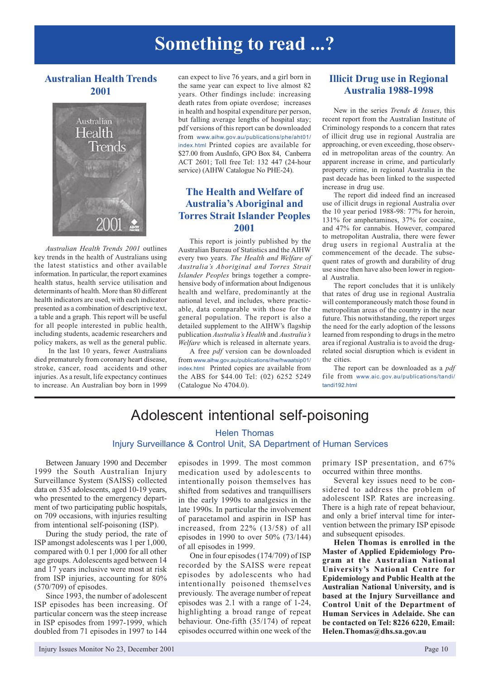# **Something to read ...?**

### **Australian Health Trends 2001**



*Australian Health Trends 2001* outlines key trends in the health of Australians using the latest statistics and other available information. In particular, the report examines health status, health service utilisation and determinants of health. More than 80 different health indicators are used, with each indicator presented as a combination of descriptive text, a table and a graph. This report will be useful for all people interested in public health, including students, academic researchers and policy makers, as well as the general public.

In the last 10 years, fewer Australians died prematurely from coronary heart disease, stroke, cancer, road accidents and other injuries. As a result, life expectancy continues to increase. An Australian boy born in 1999

can expect to live 76 years, and a girl born in the same year can expect to live almost 82 years. Other findings include: increasing death rates from opiate overdose; increases in health and hospital expenditure per person, but falling average lengths of hospital stay; pdf versions of this report can be downloaded from www.aihw.gov.au/publications/phe/aht01/ index.html Printed copies are available for \$27.00 from AusInfo, GPO Box 84, Canberra ACT 2601; Toll free Tel: 132 447 (24-hour service) (AIHW Catalogue No PHE-24).

### **The Health and Welfare of Australia's Aboriginal and Torres Strait Islander Peoples 2001**

This report is jointly published by the Australian Bureau of Statistics and the AIHW every two years. *The Health and Welfare of Australia's Aboriginal and Torres Strait Islander Peoples* brings together a comprehensive body of information about Indigenous health and welfare, predominantly at the national level, and includes, where practicable, data comparable with those for the general population. The report is also a detailed supplement to the AIHW's flagship publication *Australia's Health* and *Australia's Welfare* which is released in alternate years.

A free *pdf* version can be downloaded from www.aihw.gov.au/publications/ihw/hwaatsip01/ index.html Printed copies are available from the ABS for \$44.00 Tel: (02) 6252 5249 (Catalogue No 4704.0).

### **Illicit Drug use in Regional Australia 1988-1998**

New in the series *Trends & Issues*, this recent report from the Australian Institute of Criminology responds to a concern that rates of illicit drug use in regional Australia are approaching, or even exceeding, those observed in metropolitan areas of the country. An apparent increase in crime, and particularly property crime, in regional Australia in the past decade has been linked to the suspected increase in drug use.

The report did indeed find an increased use of illicit drugs in regional Australia over the 10 year period 1988-98: 77% for heroin, 131% for amphetamines, 37% for cocaine, and 47% for cannabis. However, compared to metropolitan Australia, there were fewer drug users in regional Australia at the commencement of the decade. The subsequent rates of growth and durability of drug use since then have also been lower in regional Australia.

The report concludes that it is unlikely that rates of drug use in regional Australia will contemporaneously match those found in metropolitan areas of the country in the near future. This notwithstanding, the report urges the need for the early adoption of the lessons learned from responding to drugs in the metro area if regional Australia is to avoid the drugrelated social disruption which is evident in the cities.

The report can be downloaded as a *pdf* file from www.aic.gov.au/publications/tandi/ tandi192.html

### Adolescent intentional self-poisoning

### Helen Thomas

### Injury Surveillance & Control Unit, SA Department of Human Services

Between January 1990 and December 1999 the South Australian Injury Surveillance System (SAISS) collected data on 535 adolescents, aged 10-19 years, who presented to the emergency department of two participating public hospitals, on 709 occasions, with injuries resulting from intentional self-poisoning (ISP).

During the study period, the rate of ISP amongst adolescents was 1 per 1,000, compared with 0.1 per 1,000 for all other age groups. Adolescents aged between 14 and 17 years inclusive were most at risk from ISP injuries, accounting for 80% (570/709) of episodes.

Since 1993, the number of adolescent ISP episodes has been increasing. Of particular concern was the steep increase in ISP episodes from 1997-1999, which doubled from 71 episodes in 1997 to 144

episodes in 1999. The most common medication used by adolescents to intentionally poison themselves has shifted from sedatives and tranquillisers in the early 1990s to analgesics in the late 1990s. In particular the involvement of paracetamol and aspirin in ISP has increased, from 22% (13/58) of all episodes in 1990 to over 50% (73/144) of all episodes in 1999.

One in four episodes (174/709) of ISP recorded by the SAISS were repeat episodes by adolescents who had intentionally poisoned themselves previously. The average number of repeat episodes was 2.1 with a range of 1-24, highlighting a broad range of repeat behaviour. One-fifth (35/174) of repeat episodes occurred within one week of the primary ISP presentation, and 67% occurred within three months.

Several key issues need to be considered to address the problem of adolescent ISP. Rates are increasing. There is a high rate of repeat behaviour, and only a brief interval time for intervention between the primary ISP episode and subsequent episodes.

**Helen Thomas is enrolled in the Master of Applied Epidemiology Program at the Australian National University's National Centre for Epidemiology and Public Health at the Australian National University, and is based at the Injury Surveillance and Control Unit of the Department of Human Services in Adelaide. She can be contacted on Tel: 8226 6220, Email: Helen.Thomas@dhs.sa.gov.au**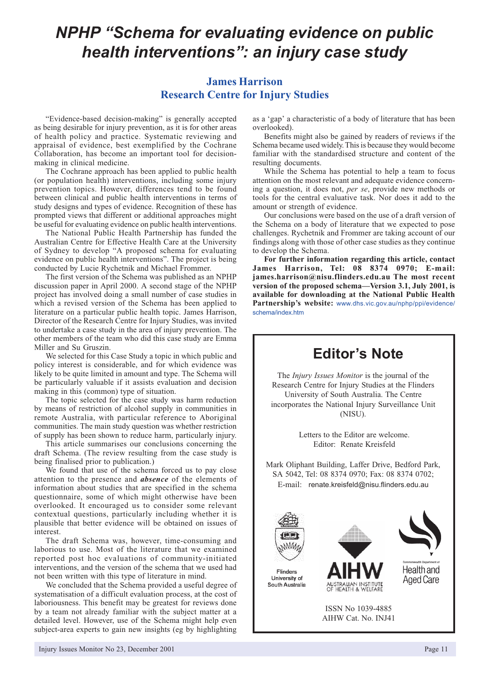### *NPHP "Schema for evaluating evidence on public health interventions": an injury case study*

### **James Harrison Research Centre for Injury Studies**

"Evidence-based decision-making" is generally accepted as being desirable for injury prevention, as it is for other areas of health policy and practice. Systematic reviewing and appraisal of evidence, best exemplified by the Cochrane Collaboration, has become an important tool for decisionmaking in clinical medicine.

The Cochrane approach has been applied to public health (or population health) interventions, including some injury prevention topics. However, differences tend to be found between clinical and public health interventions in terms of study designs and types of evidence. Recognition of these has prompted views that different or additional approaches might be useful for evaluating evidence on public health interventions.

The National Public Health Partnership has funded the Australian Centre for Effective Health Care at the University of Sydney to develop "A proposed schema for evaluating evidence on public health interventions". The project is being conducted by Lucie Rychetnik and Michael Frommer.

The first version of the Schema was published as an NPHP discussion paper in April 2000. A second stage of the NPHP project has involved doing a small number of case studies in which a revised version of the Schema has been applied to literature on a particular public health topic. James Harrison, Director of the Research Centre for Injury Studies, was invited to undertake a case study in the area of injury prevention. The other members of the team who did this case study are Emma Miller and Su Gruszin.

We selected for this Case Study a topic in which public and policy interest is considerable, and for which evidence was likely to be quite limited in amount and type. The Schema will be particularly valuable if it assists evaluation and decision making in this (common) type of situation.

The topic selected for the case study was harm reduction by means of restriction of alcohol supply in communities in remote Australia, with particular reference to Aboriginal communities. The main study question was whether restriction of supply has been shown to reduce harm, particularly injury.

This article summarises our conclusions concerning the draft Schema. (The review resulting from the case study is being finalised prior to publication.)

We found that use of the schema forced us to pay close attention to the presence and *absence* of the elements of information about studies that are specified in the schema questionnaire, some of which might otherwise have been overlooked. It encouraged us to consider some relevant contextual questions, particularly including whether it is plausible that better evidence will be obtained on issues of interest.

The draft Schema was, however, time-consuming and laborious to use. Most of the literature that we examined reported post hoc evaluations of community-initiated interventions, and the version of the schema that we used had not been written with this type of literature in mind.

We concluded that the Schema provided a useful degree of systematisation of a difficult evaluation process, at the cost of laboriousness. This benefit may be greatest for reviews done by a team not already familiar with the subject matter at a detailed level. However, use of the Schema might help even subject-area experts to gain new insights (eg by highlighting

as a 'gap' a characteristic of a body of literature that has been overlooked).

Benefits might also be gained by readers of reviews if the Schema became used widely. This is because they would become familiar with the standardised structure and content of the resulting documents.

While the Schema has potential to help a team to focus attention on the most relevant and adequate evidence concerning a question, it does not, *per se*, provide new methods or tools for the central evaluative task. Nor does it add to the amount or strength of evidence.

Our conclusions were based on the use of a draft version of the Schema on a body of literature that we expected to pose challenges. Rychetnik and Frommer are taking account of our findings along with those of other case studies as they continue to develop the Schema.

**For further information regarding this article, contact James Harrison, Tel: 08 8374 0970; E-mail: james.harrison@nisu.flinders.edu.au The most recent version of the proposed schema—Version 3.1, July 2001, is available for downloading at the National Public Health Partnership's website:** www.dhs.vic.gov.au/nphp/ppi/evidence/ schema/index.htm